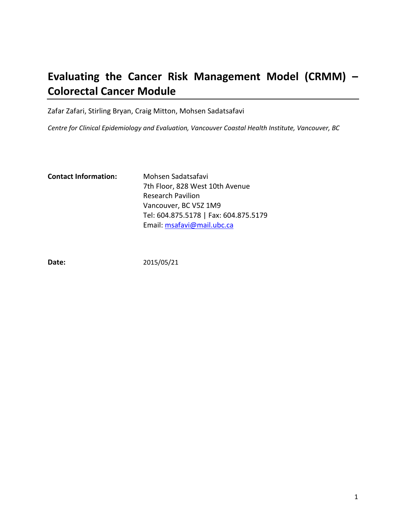# **Evaluating the Cancer Risk Management Model (CRMM) – Colorectal Cancer Module**

Zafar Zafari, Stirling Bryan, Craig Mitton, Mohsen Sadatsafavi

*Centre for Clinical Epidemiology and Evaluation, Vancouver Coastal Health Institute, Vancouver, BC*

| <b>Contact Information:</b> | Mohsen Sadatsafavi                    |
|-----------------------------|---------------------------------------|
|                             | 7th Floor, 828 West 10th Avenue       |
|                             | <b>Research Pavilion</b>              |
|                             | Vancouver, BC V5Z 1M9                 |
|                             | Tel: 604.875.5178   Fax: 604.875.5179 |
|                             | Email: msafavi@mail.ubc.ca            |

**Date:** 2015/05/21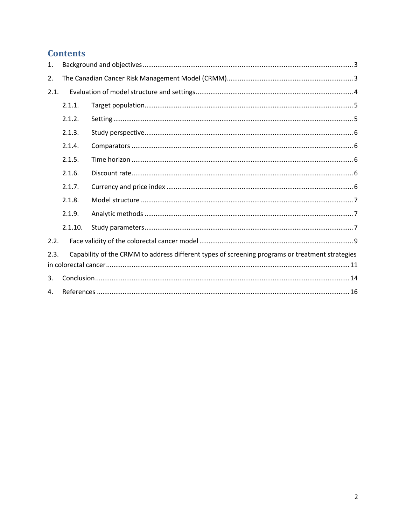## **Contents**

| 1.   |         |                                                                                                 |  |
|------|---------|-------------------------------------------------------------------------------------------------|--|
| 2.   |         |                                                                                                 |  |
| 2.1. |         |                                                                                                 |  |
|      | 2.1.1.  |                                                                                                 |  |
|      | 2.1.2.  |                                                                                                 |  |
|      | 2.1.3.  |                                                                                                 |  |
|      | 2.1.4.  |                                                                                                 |  |
|      | 2.1.5.  |                                                                                                 |  |
|      | 2.1.6.  |                                                                                                 |  |
|      | 2.1.7.  |                                                                                                 |  |
|      | 2.1.8.  |                                                                                                 |  |
|      | 2.1.9.  |                                                                                                 |  |
|      | 2.1.10. |                                                                                                 |  |
| 2.2. |         |                                                                                                 |  |
| 2.3. |         | Capability of the CRMM to address different types of screening programs or treatment strategies |  |
| 3.   |         |                                                                                                 |  |
| 4.   |         |                                                                                                 |  |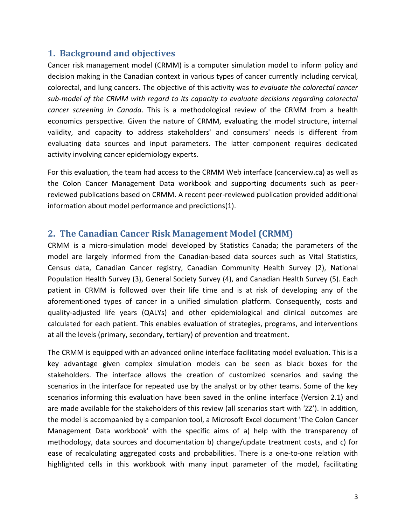## <span id="page-2-0"></span>**1. Background and objectives**

Cancer risk management model (CRMM) is a computer simulation model to inform policy and decision making in the Canadian context in various types of cancer currently including cervical, colorectal, and lung cancers. The objective of this activity was *to evaluate the colorectal cancer sub-model of the CRMM with regard to its capacity to evaluate decisions regarding colorectal cancer screening in Canada*. This is a methodological review of the CRMM from a health economics perspective. Given the nature of CRMM, evaluating the model structure, internal validity, and capacity to address stakeholders' and consumers' needs is different from evaluating data sources and input parameters. The latter component requires dedicated activity involving cancer epidemiology experts.

For this evaluation, the team had access to the CRMM Web interface (cancerview.ca) as well as the Colon Cancer Management Data workbook and supporting documents such as peerreviewed publications based on CRMM. A recent peer-reviewed publication provided additional information about model performance and predictions(1).

## <span id="page-2-1"></span>**2. The Canadian Cancer Risk Management Model (CRMM)**

CRMM is a micro-simulation model developed by Statistics Canada; the parameters of the model are largely informed from the Canadian-based data sources such as Vital Statistics, Census data, Canadian Cancer registry, Canadian Community Health Survey (2), National Population Health Survey (3), General Society Survey (4), and Canadian Health Survey (5). Each patient in CRMM is followed over their life time and is at risk of developing any of the aforementioned types of cancer in a unified simulation platform. Consequently, costs and quality-adjusted life years (QALYs) and other epidemiological and clinical outcomes are calculated for each patient. This enables evaluation of strategies, programs, and interventions at all the levels (primary, secondary, tertiary) of prevention and treatment.

The CRMM is equipped with an advanced online interface facilitating model evaluation. This is a key advantage given complex simulation models can be seen as black boxes for the stakeholders. The interface allows the creation of customized scenarios and saving the scenarios in the interface for repeated use by the analyst or by other teams. Some of the key scenarios informing this evaluation have been saved in the online interface (Version 2.1) and are made available for the stakeholders of this review (all scenarios start with 'ZZ'). In addition, the model is accompanied by a companion tool, a Microsoft Excel document 'The Colon Cancer Management Data workbook' with the specific aims of a) help with the transparency of methodology, data sources and documentation b) change/update treatment costs, and c) for ease of recalculating aggregated costs and probabilities. There is a one-to-one relation with highlighted cells in this workbook with many input parameter of the model, facilitating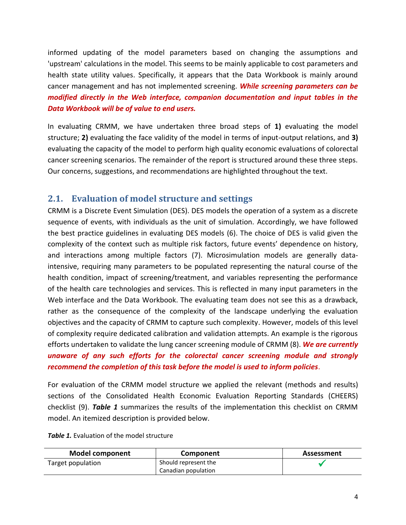informed updating of the model parameters based on changing the assumptions and 'upstream' calculations in the model. This seems to be mainly applicable to cost parameters and health state utility values. Specifically, it appears that the Data Workbook is mainly around cancer management and has not implemented screening. *While screening parameters can be modified directly in the Web interface, companion documentation and input tables in the Data Workbook will be of value to end users.*

In evaluating CRMM, we have undertaken three broad steps of **1)** evaluating the model structure; **2)** evaluating the face validity of the model in terms of input-output relations, and **3)** evaluating the capacity of the model to perform high quality economic evaluations of colorectal cancer screening scenarios. The remainder of the report is structured around these three steps. Our concerns, suggestions, and recommendations are highlighted throughout the text.

## <span id="page-3-0"></span>**2.1. Evaluation of model structure and settings**

CRMM is a Discrete Event Simulation (DES). DES models the operation of a system as a discrete sequence of events, with individuals as the unit of simulation. Accordingly, we have followed the best practice guidelines in evaluating DES models (6). The choice of DES is valid given the complexity of the context such as multiple risk factors, future events' dependence on history, and interactions among multiple factors (7). Microsimulation models are generally dataintensive, requiring many parameters to be populated representing the natural course of the health condition, impact of screening/treatment, and variables representing the performance of the health care technologies and services. This is reflected in many input parameters in the Web interface and the Data Workbook. The evaluating team does not see this as a drawback, rather as the consequence of the complexity of the landscape underlying the evaluation objectives and the capacity of CRMM to capture such complexity. However, models of this level of complexity require dedicated calibration and validation attempts. An example is the rigorous efforts undertaken to validate the lung cancer screening module of CRMM (8). *We are currently unaware of any such efforts for the colorectal cancer screening module and strongly recommend the completion of this task before the model is used to inform policies*.

For evaluation of the CRMM model structure we applied the relevant (methods and results) sections of the Consolidated Health Economic Evaluation Reporting Standards (CHEERS) checklist (9). *Table 1* summarizes the results of the implementation this checklist on CRMM model. An itemized description is provided below.

| <b>Model component</b> | Component            | Assessment |
|------------------------|----------------------|------------|
| Target population      | Should represent the |            |
|                        | Canadian population  |            |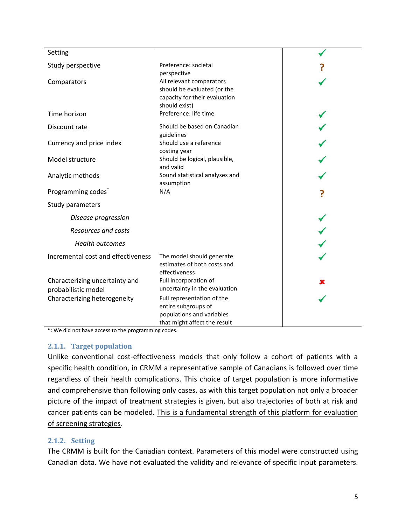| Setting                                               |                                                                                                                |  |
|-------------------------------------------------------|----------------------------------------------------------------------------------------------------------------|--|
| Study perspective                                     | Preference: societal<br>perspective                                                                            |  |
| Comparators                                           | All relevant comparators<br>should be evaluated (or the<br>capacity for their evaluation<br>should exist)      |  |
| Time horizon                                          | Preference: life time                                                                                          |  |
| Discount rate                                         | Should be based on Canadian<br>guidelines                                                                      |  |
| Currency and price index                              | Should use a reference<br>costing year                                                                         |  |
| Model structure                                       | Should be logical, plausible,<br>and valid                                                                     |  |
| Analytic methods                                      | Sound statistical analyses and<br>assumption                                                                   |  |
| Programming codes <sup>®</sup>                        | N/A                                                                                                            |  |
| Study parameters                                      |                                                                                                                |  |
| Disease progression                                   |                                                                                                                |  |
| <b>Resources and costs</b>                            |                                                                                                                |  |
| <b>Health outcomes</b>                                |                                                                                                                |  |
| Incremental cost and effectiveness                    | The model should generate<br>estimates of both costs and<br>effectiveness                                      |  |
| Characterizing uncertainty and<br>probabilistic model | Full incorporation of<br>uncertainty in the evaluation                                                         |  |
| Characterizing heterogeneity                          | Full representation of the<br>entire subgroups of<br>populations and variables<br>that might affect the result |  |

\*: We did not have access to the programming codes.

### <span id="page-4-0"></span>**2.1.1. Target population**

Unlike conventional cost-effectiveness models that only follow a cohort of patients with a specific health condition, in CRMM a representative sample of Canadians is followed over time regardless of their health complications. This choice of target population is more informative and comprehensive than following only cases, as with this target population not only a broader picture of the impact of treatment strategies is given, but also trajectories of both at risk and cancer patients can be modeled. This is a fundamental strength of this platform for evaluation of screening strategies.

## <span id="page-4-1"></span>**2.1.2. Setting**

The CRMM is built for the Canadian context. Parameters of this model were constructed using Canadian data. We have not evaluated the validity and relevance of specific input parameters.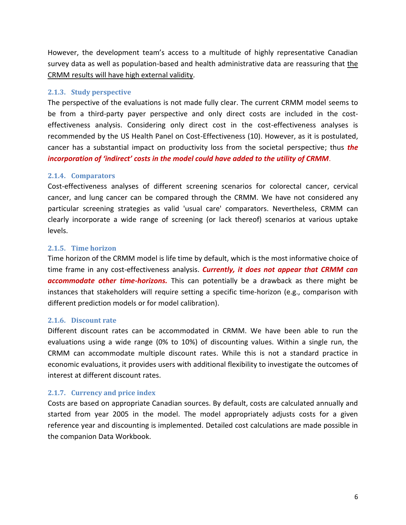However, the development team's access to a multitude of highly representative Canadian survey data as well as population-based and health administrative data are reassuring that the CRMM results will have high external validity.

### <span id="page-5-0"></span>**2.1.3. Study perspective**

The perspective of the evaluations is not made fully clear. The current CRMM model seems to be from a third-party payer perspective and only direct costs are included in the costeffectiveness analysis. Considering only direct cost in the cost-effectiveness analyses is recommended by the US Health Panel on Cost-Effectiveness (10). However, as it is postulated, cancer has a substantial impact on productivity loss from the societal perspective; thus *the incorporation of 'indirect' costs in the model could have added to the utility of CRMM*.

### <span id="page-5-1"></span>**2.1.4. Comparators**

Cost-effectiveness analyses of different screening scenarios for colorectal cancer, cervical cancer, and lung cancer can be compared through the CRMM. We have not considered any particular screening strategies as valid 'usual care' comparators. Nevertheless, CRMM can clearly incorporate a wide range of screening (or lack thereof) scenarios at various uptake levels.

### <span id="page-5-2"></span>**2.1.5. Time horizon**

Time horizon of the CRMM model is life time by default, which is the most informative choice of time frame in any cost-effectiveness analysis. *Currently, it does not appear that CRMM can accommodate other time-horizons.* This can potentially be a drawback as there might be instances that stakeholders will require setting a specific time-horizon (e.g., comparison with different prediction models or for model calibration).

### <span id="page-5-3"></span>**2.1.6. Discount rate**

Different discount rates can be accommodated in CRMM. We have been able to run the evaluations using a wide range (0% to 10%) of discounting values. Within a single run, the CRMM can accommodate multiple discount rates. While this is not a standard practice in economic evaluations, it provides users with additional flexibility to investigate the outcomes of interest at different discount rates.

## <span id="page-5-4"></span>**2.1.7. Currency and price index**

Costs are based on appropriate Canadian sources. By default, costs are calculated annually and started from year 2005 in the model. The model appropriately adjusts costs for a given reference year and discounting is implemented. Detailed cost calculations are made possible in the companion Data Workbook.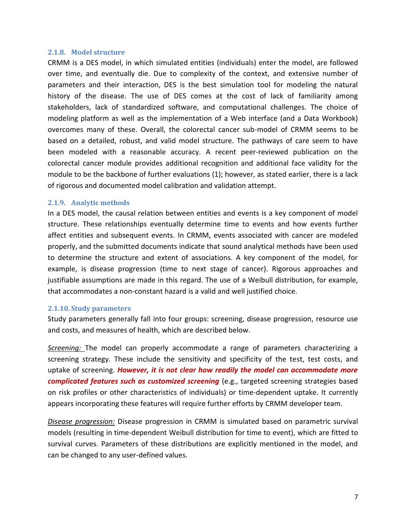#### <span id="page-6-0"></span>**2.1.8. Model structure**

CRMM is a DES model, in which simulated entities (individuals) enter the model, are followed over time, and eventually die. Due to complexity of the context, and extensive number of parameters and their interaction, DES is the best simulation tool for modeling the natural history of the disease. The use of DES comes at the cost of lack of familiarity among stakeholders, lack of standardized software, and computational challenges. The choice of modeling platform as well as the implementation of a Web interface (and a Data Workbook) overcomes many of these. Overall, the colorectal cancer sub-model of CRMM seems to be based on a detailed, robust, and valid model structure. The pathways of care seem to have been modeled with a reasonable accuracy. A recent peer-reviewed publication on the colorectal cancer module provides additional recognition and additional face validity for the module to be the backbone of further evaluations (1); however, as stated earlier, there is a lack of rigorous and documented model calibration and validation attempt.

#### <span id="page-6-1"></span>**2.1.9. Analytic methods**

In a DES model, the causal relation between entities and events is a key component of model structure. These relationships eventually determine time to events and how events further affect entities and subsequent events. In CRMM, events associated with cancer are modeled properly, and the submitted documents indicate that sound analytical methods have been used to determine the structure and extent of associations. A key component of the model, for example, is disease progression (time to next stage of cancer). Rigorous approaches and justifiable assumptions are made in this regard. The use of a Weibull distribution, for example, that accommodates a non-constant hazard is a valid and well justified choice.

#### <span id="page-6-2"></span>**2.1.10. Study parameters**

Study parameters generally fall into four groups: screening, disease progression, resource use and costs, and measures of health, which are described below.

*Screening:* The model can properly accommodate a range of parameters characterizing a screening strategy. These include the sensitivity and specificity of the test, test costs, and uptake of screening. *However, it is not clear how readily the model can accommodate more complicated features such as customized screening* (e.g., targeted screening strategies based on risk profiles or other characteristics of individuals) or time-dependent uptake. It currently appears incorporating these features will require further efforts by CRMM developer team.

*Disease progression:* Disease progression in CRMM is simulated based on parametric survival models (resulting in time-dependent Weibull distribution for time to event), which are fitted to survival curves. Parameters of these distributions are explicitly mentioned in the model, and can be changed to any user-defined values.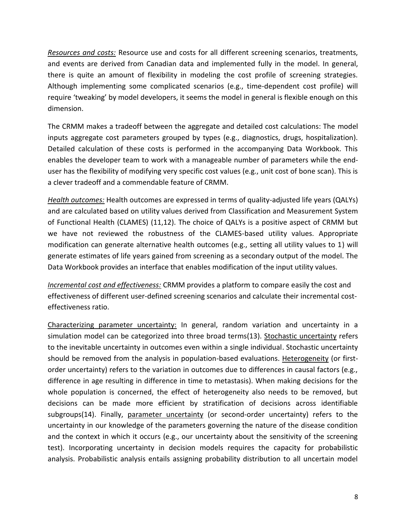*Resources and costs:* Resource use and costs for all different screening scenarios, treatments, and events are derived from Canadian data and implemented fully in the model. In general, there is quite an amount of flexibility in modeling the cost profile of screening strategies. Although implementing some complicated scenarios (e.g., time-dependent cost profile) will require 'tweaking' by model developers, it seems the model in general is flexible enough on this dimension.

The CRMM makes a tradeoff between the aggregate and detailed cost calculations: The model inputs aggregate cost parameters grouped by types (e.g., diagnostics, drugs, hospitalization). Detailed calculation of these costs is performed in the accompanying Data Workbook. This enables the developer team to work with a manageable number of parameters while the enduser has the flexibility of modifying very specific cost values (e.g., unit cost of bone scan). This is a clever tradeoff and a commendable feature of CRMM.

*Health outcomes:* Health outcomes are expressed in terms of quality-adjusted life years (QALYs) and are calculated based on utility values derived from Classification and Measurement System of Functional Health (CLAMES) (11,12). The choice of QALYs is a positive aspect of CRMM but we have not reviewed the robustness of the CLAMES-based utility values. Appropriate modification can generate alternative health outcomes (e.g., setting all utility values to 1) will generate estimates of life years gained from screening as a secondary output of the model. The Data Workbook provides an interface that enables modification of the input utility values.

*Incremental cost and effectiveness:* CRMM provides a platform to compare easily the cost and effectiveness of different user-defined screening scenarios and calculate their incremental costeffectiveness ratio.

Characterizing parameter uncertainty: In general, random variation and uncertainty in a simulation model can be categorized into three broad terms(13). Stochastic uncertainty refers to the inevitable uncertainty in outcomes even within a single individual. Stochastic uncertainty should be removed from the analysis in population-based evaluations. Heterogeneity (or firstorder uncertainty) refers to the variation in outcomes due to differences in causal factors (e.g., difference in age resulting in difference in time to metastasis). When making decisions for the whole population is concerned, the effect of heterogeneity also needs to be removed, but decisions can be made more efficient by stratification of decisions across identifiable subgroups(14). Finally, parameter uncertainty (or second-order uncertainty) refers to the uncertainty in our knowledge of the parameters governing the nature of the disease condition and the context in which it occurs (e.g., our uncertainty about the sensitivity of the screening test). Incorporating uncertainty in decision models requires the capacity for probabilistic analysis. Probabilistic analysis entails assigning probability distribution to all uncertain model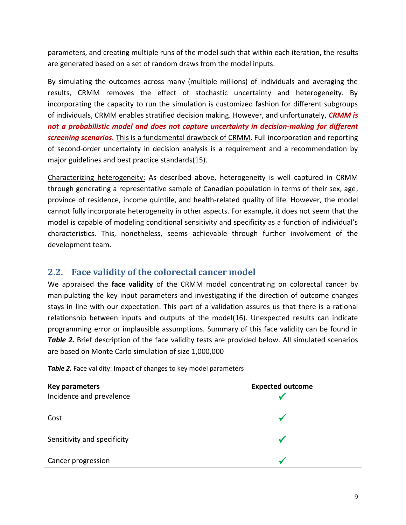parameters, and creating multiple runs of the model such that within each iteration, the results are generated based on a set of random draws from the model inputs.

By simulating the outcomes across many (multiple millions) of individuals and averaging the results, CRMM removes the effect of stochastic uncertainty and heterogeneity. By incorporating the capacity to run the simulation is customized fashion for different subgroups of individuals, CRMM enables stratified decision making. However, and unfortunately, *CRMM is not a probabilistic model and does not capture uncertainty in decision-making for different screening scenarios.* This is a fundamental drawback of CRMM. Full incorporation and reporting of second-order uncertainty in decision analysis is a requirement and a recommendation by major guidelines and best practice standards(15).

Characterizing heterogeneity: As described above, heterogeneity is well captured in CRMM through generating a representative sample of Canadian population in terms of their sex, age, province of residence, income quintile, and health-related quality of life. However, the model cannot fully incorporate heterogeneity in other aspects. For example, it does not seem that the model is capable of modeling conditional sensitivity and specificity as a function of individual's characteristics. This, nonetheless, seems achievable through further involvement of the development team.

## <span id="page-8-0"></span>**2.2. Face validity of the colorectal cancer model**

We appraised the **face validity** of the CRMM model concentrating on colorectal cancer by manipulating the key input parameters and investigating if the direction of outcome changes stays in line with our expectation. This part of a validation assures us that there is a rational relationship between inputs and outputs of the model(16). Unexpected results can indicate programming error or implausible assumptions. Summary of this face validity can be found in **Table 2.** Brief description of the face validity tests are provided below. All simulated scenarios are based on Monte Carlo simulation of size 1,000,000

**Key parameters Expected outcome** Incidence and prevalence

**Table 2.** Face validity: Impact of changes to key model parameters

 $\sim$  Cost

Sensitivity and specificity

Cancer progression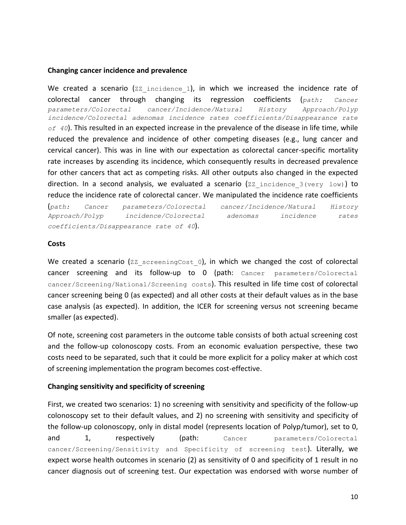#### **Changing cancer incidence and prevalence**

We created a scenario ( $\text{ZZ}$  incidence 1), in which we increased the incidence rate of colorectal cancer through changing its regression coefficients (*path: Cancer parameters/Colorectal cancer/Incidence/Natural History Approach/Polyp incidence/Colorectal adenomas incidence rates coefficients/Disappearance rate of 40*). This resulted in an expected increase in the prevalence of the disease in life time, while reduced the prevalence and incidence of other competing diseases (e.g., lung cancer and cervical cancer). This was in line with our expectation as colorectal cancer-specific mortality rate increases by ascending its incidence, which consequently results in decreased prevalence for other cancers that act as competing risks. All other outputs also changed in the expected direction. In a second analysis, we evaluated a scenario ( $zz$  incidence  $3(very \, low)$ ) to reduce the incidence rate of colorectal cancer. We manipulated the incidence rate coefficients

(*path: Cancer parameters/Colorectal cancer/Incidence/Natural History Approach/Polyp incidence/Colorectal adenomas incidence rates coefficients/Disappearance rate of 40*).

#### **Costs**

We created a scenario ( $ZZ$  screeningCost 0), in which we changed the cost of colorectal cancer screening and its follow-up to 0 (path: Cancer parameters/Colorectal cancer/Screening/National/Screening costs). This resulted in life time cost of colorectal cancer screening being 0 (as expected) and all other costs at their default values as in the base case analysis (as expected). In addition, the ICER for screening versus not screening became smaller (as expected).

Of note, screening cost parameters in the outcome table consists of both actual screening cost and the follow-up colonoscopy costs. From an economic evaluation perspective, these two costs need to be separated, such that it could be more explicit for a policy maker at which cost of screening implementation the program becomes cost-effective.

### **Changing sensitivity and specificity of screening**

First, we created two scenarios: 1) no screening with sensitivity and specificity of the follow-up colonoscopy set to their default values, and 2) no screening with sensitivity and specificity of the follow-up colonoscopy, only in distal model (represents location of Polyp/tumor), set to 0, and 1, respectively (path: Cancer parameters/Colorectal cancer/Screening/Sensitivity and Specificity of screening test). Literally, we expect worse health outcomes in scenario (2) as sensitivity of 0 and specificity of 1 result in no cancer diagnosis out of screening test. Our expectation was endorsed with worse number of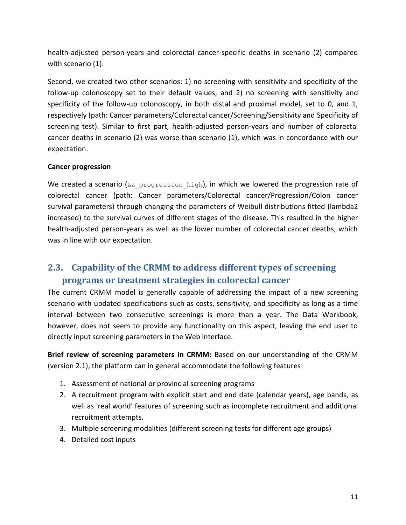health-adjusted person-years and colorectal cancer-specific deaths in scenario (2) compared with scenario (1).

Second, we created two other scenarios: 1) no screening with sensitivity and specificity of the follow-up colonoscopy set to their default values, and 2) no screening with sensitivity and specificity of the follow-up colonoscopy, in both distal and proximal model, set to 0, and 1, respectively (path: Cancer parameters/Colorectal cancer/Screening/Sensitivity and Specificity of screening test). Similar to first part, health-adjusted person-years and number of colorectal cancer deaths in scenario (2) was worse than scenario (1), which was in concordance with our expectation.

### **Cancer progression**

We created a scenario (ZZ\_progression\_high), in which we lowered the progression rate of colorectal cancer (path: Cancer parameters/Colorectal cancer/Progression/Colon cancer survival parameters) through changing the parameters of Weibull distributions fitted (lambda2 increased) to the survival curves of different stages of the disease. This resulted in the higher health-adjusted person-years as well as the lower number of colorectal cancer deaths, which was in line with our expectation.

## <span id="page-10-0"></span>**2.3. Capability of the CRMM to address different types of screening programs or treatment strategies in colorectal cancer**

The current CRMM model is generally capable of addressing the impact of a new screening scenario with updated specifications such as costs, sensitivity, and specificity as long as a time interval between two consecutive screenings is more than a year. The Data Workbook, however, does not seem to provide any functionality on this aspect, leaving the end user to directly input screening parameters in the Web interface.

**Brief review of screening parameters in CRMM:** Based on our understanding of the CRMM (version 2.1), the platform can in general accommodate the following features

- 1. Assessment of national or provincial screening programs
- 2. A recruitment program with explicit start and end date (calendar years), age bands, as well as 'real world' features of screening such as incomplete recruitment and additional recruitment attempts.
- 3. Multiple screening modalities (different screening tests for different age groups)
- 4. Detailed cost inputs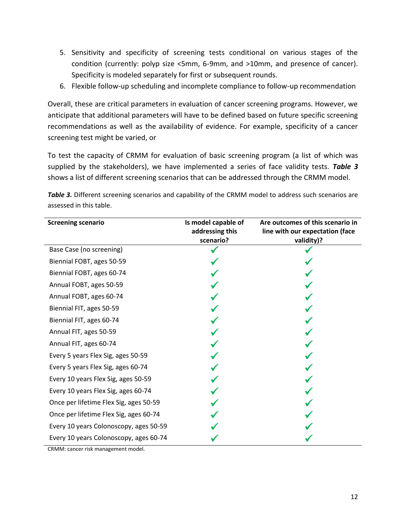- 5. Sensitivity and specificity of screening tests conditional on various stages of the condition (currently: polyp size <5mm, 6-9mm, and >10mm, and presence of cancer). Specificity is modeled separately for first or subsequent rounds.
- 6. Flexible follow-up scheduling and incomplete compliance to follow-up recommendation

Overall, these are critical parameters in evaluation of cancer screening programs. However, we anticipate that additional parameters will have to be defined based on future specific screening recommendations as well as the availability of evidence. For example, specificity of a cancer screening test might be varied, or

To test the capacity of CRMM for evaluation of basic screening program (a list of which was supplied by the stakeholders), we have implemented a series of face validity tests. *Table 3* shows a list of different screening scenarios that can be addressed through the CRMM model.

**Table 3.** Different screening scenarios and capability of the CRMM model to address such scenarios are assessed in this table.

| <b>Screening scenario</b>              | Is model capable of<br>addressing this<br>scenario? | Are outcomes of this scenario in<br>line with our expectation (face<br>validity)? |
|----------------------------------------|-----------------------------------------------------|-----------------------------------------------------------------------------------|
| Base Case (no screening)               |                                                     |                                                                                   |
| Biennial FOBT, ages 50-59              |                                                     |                                                                                   |
| Biennial FOBT, ages 60-74              |                                                     |                                                                                   |
| Annual FOBT, ages 50-59                |                                                     |                                                                                   |
| Annual FOBT, ages 60-74                |                                                     |                                                                                   |
| Biennial FIT, ages 50-59               |                                                     |                                                                                   |
| Biennial FIT, ages 60-74               |                                                     |                                                                                   |
| Annual FIT, ages 50-59                 |                                                     |                                                                                   |
| Annual FIT, ages 60-74                 |                                                     |                                                                                   |
| Every 5 years Flex Sig, ages 50-59     |                                                     |                                                                                   |
| Every 5 years Flex Sig, ages 60-74     |                                                     |                                                                                   |
| Every 10 years Flex Sig, ages 50-59    |                                                     |                                                                                   |
| Every 10 years Flex Sig, ages 60-74    |                                                     |                                                                                   |
| Once per lifetime Flex Sig, ages 50-59 |                                                     |                                                                                   |
| Once per lifetime Flex Sig, ages 60-74 |                                                     |                                                                                   |
| Every 10 years Colonoscopy, ages 50-59 |                                                     |                                                                                   |
| Every 10 years Colonoscopy, ages 60-74 |                                                     |                                                                                   |

CRMM: cancer risk management model.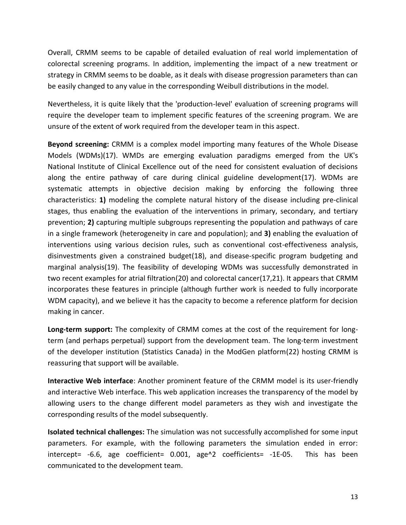Overall, CRMM seems to be capable of detailed evaluation of real world implementation of colorectal screening programs. In addition, implementing the impact of a new treatment or strategy in CRMM seems to be doable, as it deals with disease progression parameters than can be easily changed to any value in the corresponding Weibull distributions in the model.

Nevertheless, it is quite likely that the 'production-level' evaluation of screening programs will require the developer team to implement specific features of the screening program. We are unsure of the extent of work required from the developer team in this aspect.

**Beyond screening:** CRMM is a complex model importing many features of the Whole Disease Models (WDMs)(17). WMDs are emerging evaluation paradigms emerged from the UK's National Institute of Clinical Excellence out of the need for consistent evaluation of decisions along the entire pathway of care during clinical guideline development(17). WDMs are systematic attempts in objective decision making by enforcing the following three characteristics: **1)** modeling the complete natural history of the disease including pre-clinical stages, thus enabling the evaluation of the interventions in primary, secondary, and tertiary prevention; **2)** capturing multiple subgroups representing the population and pathways of care in a single framework (heterogeneity in care and population); and **3)** enabling the evaluation of interventions using various decision rules, such as conventional cost-effectiveness analysis, disinvestments given a constrained budget(18), and disease-specific program budgeting and marginal analysis(19). The feasibility of developing WDMs was successfully demonstrated in two recent examples for atrial filtration(20) and colorectal cancer(17,21). It appears that CRMM incorporates these features in principle (although further work is needed to fully incorporate WDM capacity), and we believe it has the capacity to become a reference platform for decision making in cancer.

**Long-term support:** The complexity of CRMM comes at the cost of the requirement for longterm (and perhaps perpetual) support from the development team. The long-term investment of the developer institution (Statistics Canada) in the ModGen platform(22) hosting CRMM is reassuring that support will be available.

**Interactive Web interface**: Another prominent feature of the CRMM model is its user-friendly and interactive Web interface. This web application increases the transparency of the model by allowing users to the change different model parameters as they wish and investigate the corresponding results of the model subsequently.

**Isolated technical challenges:** The simulation was not successfully accomplished for some input parameters. For example, with the following parameters the simulation ended in error: intercept= -6.6, age coefficient= 0.001, age^2 coefficients= -1E-05. This has been communicated to the development team.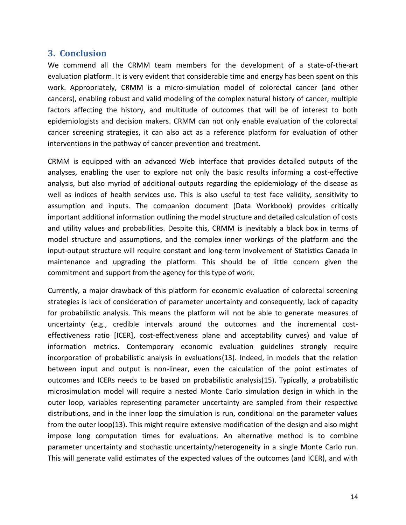## <span id="page-13-0"></span>**3. Conclusion**

We commend all the CRMM team members for the development of a state-of-the-art evaluation platform. It is very evident that considerable time and energy has been spent on this work. Appropriately, CRMM is a micro-simulation model of colorectal cancer (and other cancers), enabling robust and valid modeling of the complex natural history of cancer, multiple factors affecting the history, and multitude of outcomes that will be of interest to both epidemiologists and decision makers. CRMM can not only enable evaluation of the colorectal cancer screening strategies, it can also act as a reference platform for evaluation of other interventions in the pathway of cancer prevention and treatment.

CRMM is equipped with an advanced Web interface that provides detailed outputs of the analyses, enabling the user to explore not only the basic results informing a cost-effective analysis, but also myriad of additional outputs regarding the epidemiology of the disease as well as indices of health services use. This is also useful to test face validity, sensitivity to assumption and inputs. The companion document (Data Workbook) provides critically important additional information outlining the model structure and detailed calculation of costs and utility values and probabilities. Despite this, CRMM is inevitably a black box in terms of model structure and assumptions, and the complex inner workings of the platform and the input-output structure will require constant and long-term involvement of Statistics Canada in maintenance and upgrading the platform. This should be of little concern given the commitment and support from the agency for this type of work.

Currently, a major drawback of this platform for economic evaluation of colorectal screening strategies is lack of consideration of parameter uncertainty and consequently, lack of capacity for probabilistic analysis. This means the platform will not be able to generate measures of uncertainty (e.g., credible intervals around the outcomes and the incremental costeffectiveness ratio [ICER], cost-effectiveness plane and acceptability curves) and value of information metrics. Contemporary economic evaluation guidelines strongly require incorporation of probabilistic analysis in evaluations(13). Indeed, in models that the relation between input and output is non-linear, even the calculation of the point estimates of outcomes and ICERs needs to be based on probabilistic analysis(15). Typically, a probabilistic microsimulation model will require a nested Monte Carlo simulation design in which in the outer loop, variables representing parameter uncertainty are sampled from their respective distributions, and in the inner loop the simulation is run, conditional on the parameter values from the outer loop(13). This might require extensive modification of the design and also might impose long computation times for evaluations. An alternative method is to combine parameter uncertainty and stochastic uncertainty/heterogeneity in a single Monte Carlo run. This will generate valid estimates of the expected values of the outcomes (and ICER), and with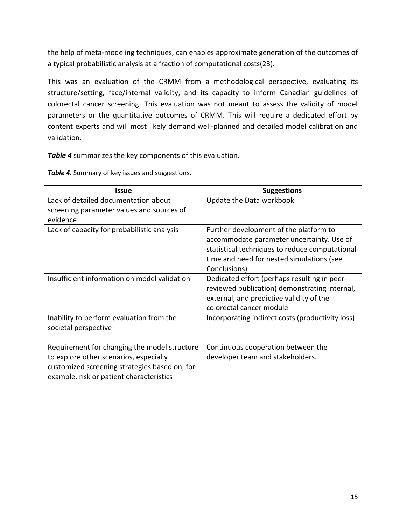the help of meta-modeling techniques, can enables approximate generation of the outcomes of a typical probabilistic analysis at a fraction of computational costs(23).

This was an evaluation of the CRMM from a methodological perspective, evaluating its structure/setting, face/internal validity, and its capacity to inform Canadian guidelines of colorectal cancer screening. This evaluation was not meant to assess the validity of model parameters or the quantitative outcomes of CRMM. This will require a dedicated effort by content experts and will most likely demand well-planned and detailed model calibration and validation.

*Table 4* summarizes the key components of this evaluation.

**Table 4.** Summary of key issues and suggestions.

| Issue                                         | <b>Suggestions</b>                               |
|-----------------------------------------------|--------------------------------------------------|
| Lack of detailed documentation about          | Update the Data workbook                         |
| screening parameter values and sources of     |                                                  |
| evidence                                      |                                                  |
| Lack of capacity for probabilistic analysis   | Further development of the platform to           |
|                                               | accommodate parameter uncertainty. Use of        |
|                                               | statistical techniques to reduce computational   |
|                                               | time and need for nested simulations (see        |
|                                               | Conclusions)                                     |
| Insufficient information on model validation  | Dedicated effort (perhaps resulting in peer-     |
|                                               | reviewed publication) demonstrating internal,    |
|                                               | external, and predictive validity of the         |
|                                               | colorectal cancer module                         |
| Inability to perform evaluation from the      | Incorporating indirect costs (productivity loss) |
| societal perspective                          |                                                  |
|                                               |                                                  |
| Requirement for changing the model structure  | Continuous cooperation between the               |
| to explore other scenarios, especially        | developer team and stakeholders.                 |
| customized screening strategies based on, for |                                                  |
| example, risk or patient characteristics      |                                                  |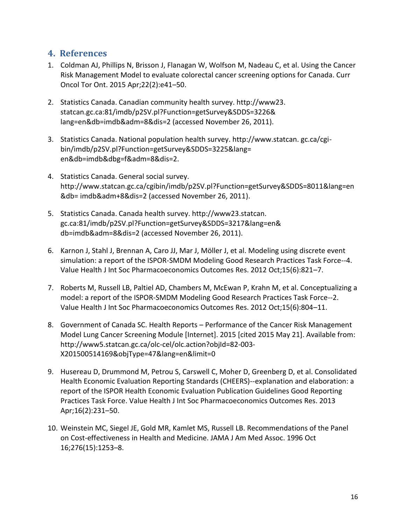## <span id="page-15-0"></span>**4. References**

- 1. Coldman AJ, Phillips N, Brisson J, Flanagan W, Wolfson M, Nadeau C, et al. Using the Cancer Risk Management Model to evaluate colorectal cancer screening options for Canada. Curr Oncol Tor Ont. 2015 Apr;22(2):e41–50.
- 2. Statistics Canada. Canadian community health survey. http://www23. statcan.gc.ca:81/imdb/p2SV.pl?Function=getSurvey&SDDS=3226& lang=en&db=imdb&adm=8&dis=2 (accessed November 26, 2011).
- 3. Statistics Canada. National population health survey. http://www.statcan. gc.ca/cgibin/imdb/p2SV.pl?Function=getSurvey&SDDS=3225&lang= en&db=imdb&dbg=f&adm=8&dis=2.
- 4. Statistics Canada. General social survey. http://www.statcan.gc.ca/cgibin/imdb/p2SV.pl?Function=getSurvey&SDDS=8011&lang=en &db= imdb&adm+8&dis=2 (accessed November 26, 2011).
- 5. Statistics Canada. Canada health survey. http://www23.statcan. gc.ca:81/imdb/p2SV.pl?Function=getSurvey&SDDS=3217&lang=en& db=imdb&adm=8&dis=2 (accessed November 26, 2011).
- 6. Karnon J, Stahl J, Brennan A, Caro JJ, Mar J, Möller J, et al. Modeling using discrete event simulation: a report of the ISPOR-SMDM Modeling Good Research Practices Task Force--4. Value Health J Int Soc Pharmacoeconomics Outcomes Res. 2012 Oct;15(6):821–7.
- 7. Roberts M, Russell LB, Paltiel AD, Chambers M, McEwan P, Krahn M, et al. Conceptualizing a model: a report of the ISPOR-SMDM Modeling Good Research Practices Task Force--2. Value Health J Int Soc Pharmacoeconomics Outcomes Res. 2012 Oct;15(6):804–11.
- 8. Government of Canada SC. Health Reports Performance of the Cancer Risk Management Model Lung Cancer Screening Module [Internet]. 2015 [cited 2015 May 21]. Available from: http://www5.statcan.gc.ca/olc-cel/olc.action?objId=82-003- X201500514169&objType=47&lang=en&limit=0
- 9. Husereau D, Drummond M, Petrou S, Carswell C, Moher D, Greenberg D, et al. Consolidated Health Economic Evaluation Reporting Standards (CHEERS)--explanation and elaboration: a report of the ISPOR Health Economic Evaluation Publication Guidelines Good Reporting Practices Task Force. Value Health J Int Soc Pharmacoeconomics Outcomes Res. 2013 Apr;16(2):231–50.
- 10. Weinstein MC, Siegel JE, Gold MR, Kamlet MS, Russell LB. Recommendations of the Panel on Cost-effectiveness in Health and Medicine. JAMA J Am Med Assoc. 1996 Oct 16;276(15):1253–8.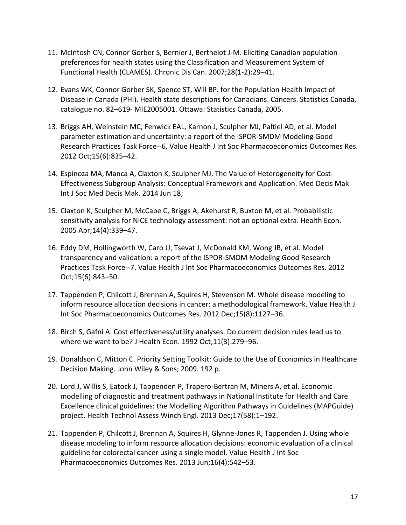- 11. McIntosh CN, Connor Gorber S, Bernier J, Berthelot J-M. Eliciting Canadian population preferences for health states using the Classification and Measurement System of Functional Health (CLAMES). Chronic Dis Can. 2007;28(1-2):29–41.
- 12. Evans WK, Connor Gorber SK, Spence ST, Will BP. for the Population Health Impact of Disease in Canada (PHI). Health state descriptions for Canadians. Cancers. Statistics Canada, catalogue no. 82–619- MIE2005001. Ottawa: Statistics Canada, 2005.
- 13. Briggs AH, Weinstein MC, Fenwick EAL, Karnon J, Sculpher MJ, Paltiel AD, et al. Model parameter estimation and uncertainty: a report of the ISPOR-SMDM Modeling Good Research Practices Task Force--6. Value Health J Int Soc Pharmacoeconomics Outcomes Res. 2012 Oct;15(6):835–42.
- 14. Espinoza MA, Manca A, Claxton K, Sculpher MJ. The Value of Heterogeneity for Cost-Effectiveness Subgroup Analysis: Conceptual Framework and Application. Med Decis Mak Int J Soc Med Decis Mak. 2014 Jun 18;
- 15. Claxton K, Sculpher M, McCabe C, Briggs A, Akehurst R, Buxton M, et al. Probabilistic sensitivity analysis for NICE technology assessment: not an optional extra. Health Econ. 2005 Apr;14(4):339–47.
- 16. Eddy DM, Hollingworth W, Caro JJ, Tsevat J, McDonald KM, Wong JB, et al. Model transparency and validation: a report of the ISPOR-SMDM Modeling Good Research Practices Task Force--7. Value Health J Int Soc Pharmacoeconomics Outcomes Res. 2012 Oct;15(6):843–50.
- 17. Tappenden P, Chilcott J, Brennan A, Squires H, Stevenson M. Whole disease modeling to inform resource allocation decisions in cancer: a methodological framework. Value Health J Int Soc Pharmacoeconomics Outcomes Res. 2012 Dec;15(8):1127–36.
- 18. Birch S, Gafni A. Cost effectiveness/utility analyses. Do current decision rules lead us to where we want to be? J Health Econ. 1992 Oct;11(3):279–96.
- 19. Donaldson C, Mitton C. Priority Setting Toolkit: Guide to the Use of Economics in Healthcare Decision Making. John Wiley & Sons; 2009. 192 p.
- 20. Lord J, Willis S, Eatock J, Tappenden P, Trapero-Bertran M, Miners A, et al. Economic modelling of diagnostic and treatment pathways in National Institute for Health and Care Excellence clinical guidelines: the Modelling Algorithm Pathways in Guidelines (MAPGuide) project. Health Technol Assess Winch Engl. 2013 Dec;17(58):1–192.
- 21. Tappenden P, Chilcott J, Brennan A, Squires H, Glynne-Jones R, Tappenden J. Using whole disease modeling to inform resource allocation decisions: economic evaluation of a clinical guideline for colorectal cancer using a single model. Value Health J Int Soc Pharmacoeconomics Outcomes Res. 2013 Jun;16(4):542–53.